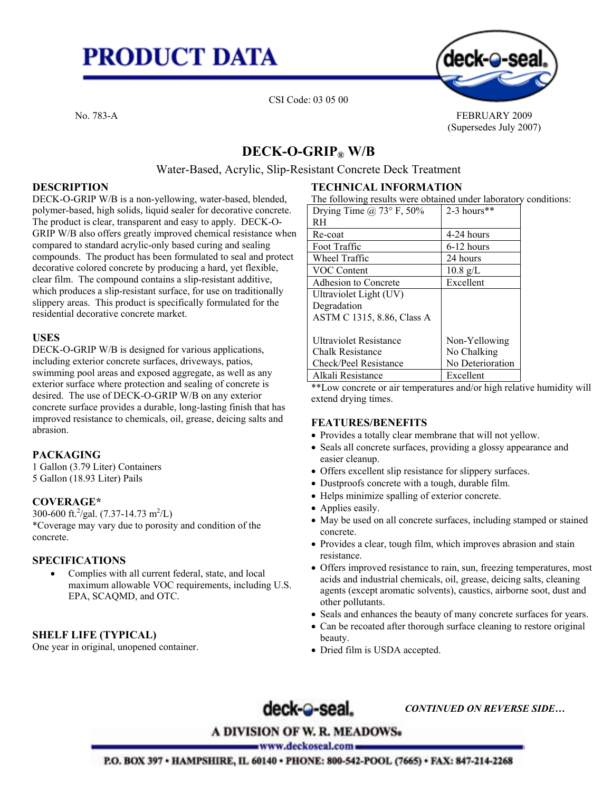# **PRODUCT DATA**



CSI Code: 03 05 00

No. 783-A FEBRUARY 2009 (Supersedes July 2007)

## **DECK-O-GRIP® W/B**

## Water-Based, Acrylic, Slip-Resistant Concrete Deck Treatment

## **DESCRIPTION**

DECK-O-GRIP W/B is a non-yellowing, water-based, blended, polymer-based, high solids, liquid sealer for decorative concrete. The product is clear, transparent and easy to apply. DECK-O-GRIP W/B also offers greatly improved chemical resistance when compared to standard acrylic-only based curing and sealing compounds. The product has been formulated to seal and protect decorative colored concrete by producing a hard, yet flexible, clear film. The compound contains a slip-resistant additive, which produces a slip-resistant surface, for use on traditionally slippery areas. This product is specifically formulated for the residential decorative concrete market.

## **USES**

DECK-O-GRIP W/B is designed for various applications, including exterior concrete surfaces, driveways, patios, swimming pool areas and exposed aggregate, as well as any exterior surface where protection and sealing of concrete is desired. The use of DECK-O-GRIP W/B on any exterior concrete surface provides a durable, long-lasting finish that has improved resistance to chemicals, oil, grease, deicing salts and abrasion.

## **PACKAGING**

1 Gallon (3.79 Liter) Containers 5 Gallon (18.93 Liter) Pails

## **COVERAGE\***

300-600 ft.<sup>2</sup>/gal. (7.37-14.73 m<sup>2</sup>/L) \*Coverage may vary due to porosity and condition of the concrete.

## **SPECIFICATIONS**

• Complies with all current federal, state, and local maximum allowable VOC requirements, including U.S. EPA, SCAQMD, and OTC.

## **SHELF LIFE (TYPICAL)**

One year in original, unopened container.

## **TECHNICAL INFORMATION**

The following results were obtained under laboratory conditions:

| Drying Time $\omega$ 73° F, 50% | $2-3$ hours**      |
|---------------------------------|--------------------|
| RH                              |                    |
| Re-coat                         | 4-24 hours         |
| Foot Traffic                    | 6-12 hours         |
| Wheel Traffic                   | 24 hours           |
| <b>VOC Content</b>              | $10.8 \text{ g/L}$ |
| Adhesion to Concrete            | Excellent          |
| Ultraviolet Light (UV)          |                    |
| Degradation                     |                    |
| ASTM C 1315, 8.86, Class A      |                    |
|                                 |                    |
| <b>Ultraviolet Resistance</b>   | Non-Yellowing      |
| Chalk Resistance                | No Chalking        |
| Check/Peel Resistance           | No Deterioration   |
| Alkali Resistance               | Excellent          |

\*\*Low concrete or air temperatures and/or high relative humidity will extend drying times.

#### **FEATURES/BENEFITS**

- Provides a totally clear membrane that will not yellow.
- Seals all concrete surfaces, providing a glossy appearance and easier cleanup.
- Offers excellent slip resistance for slippery surfaces.
- Dustproofs concrete with a tough, durable film.
- Helps minimize spalling of exterior concrete.
- Applies easily.
- May be used on all concrete surfaces, including stamped or stained concrete.
- Provides a clear, tough film, which improves abrasion and stain resistance.
- Offers improved resistance to rain, sun, freezing temperatures, most acids and industrial chemicals, oil, grease, deicing salts, cleaning agents (except aromatic solvents), caustics, airborne soot, dust and other pollutants.
- Seals and enhances the beauty of many concrete surfaces for years.
- Can be recoated after thorough surface cleaning to restore original beauty.
- Dried film is USDA accepted.

deck-@-seal.

*CONTINUED ON REVERSE SIDE…*

**A DIVISION OF W. R. MEADOWS**.

www.deckoseal.com =

P.O. BOX 397 . HAMPSHIRE, IL 60140 . PHONE: 800-542-POOL (7665) . FAX: 847-214-2268